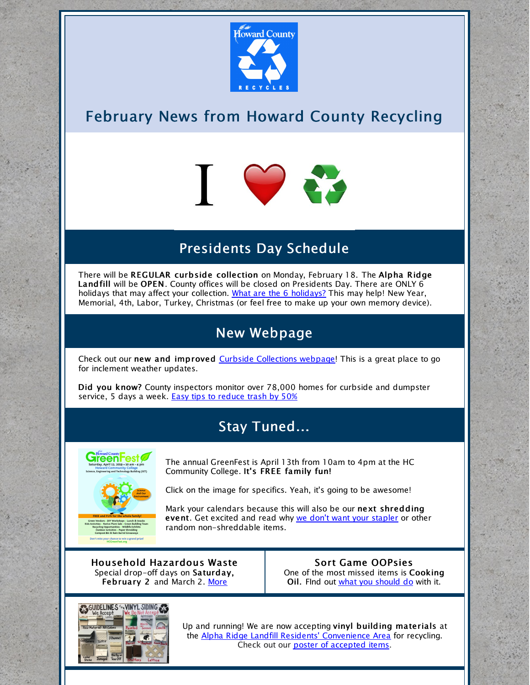

## February News from Howard County Recycling



## Presidents Day Schedule

There will be REGULAR curbside collection on Monday, February 18. The Alpha Ridge Landfill will be OPEN. County offices will be closed on Presidents Day. There are ONLY 6 holidays that may affect your collection. What are the 6 [holidays?](https://www.howardcountymd.gov/Departments/Public-Works/Bureau-Of-Environmental-Services/Curbside-Collections/Holiday-Schedule-for-Recycling-Trash) This may help! New Year, Memorial, 4th, Labor, Turkey, Christmas (or feel free to make up your own memory device).

#### New Webpage

Check out our new and improved Curbside [Collections](https://www.howardcountymd.gov/Departments/Public-Works/Bureau-Of-Environmental-Services/Curbside-Collections) webpage! This is a great place to go for inclement weather updates.

Did you know? County inspectors monitor over 78,000 homes for curbside and dumpster service, 5 days a week. Easy tips to [reduce](https://www.howardcountymd.gov/Departments/Public-Works/Bureau-Of-Environmental-Services/Recycling/Tips-To-Reduce-Your-Trash) trash by 50%

### Stay Tuned...



The annual GreenFest is April 13th from 10am to 4pm at the HC Community College. It's FREE family fun!

Click on the image for specifics. Yeah, it's going to be awesome!

Mark your calendars because this will also be our next shredding event. Get excited and read why we don't want your [stapler](https://www.howardcountymd.gov/Departments/Public-Works/Bureau-Of-Environmental-Services/Recycling/Know-Before-You-Throw/Paper-Shredding) or other random non-shreddable items.

Household Hazardous Waste Special drop-off days on Saturday, February 2 and March 2. [More](https://www.howardcountymd.gov/Departments/Public-Works/Bureau-Of-Environmental-Services/Alpha-Ridge-Landfill#Household-Hazardous-Waste-15)

Sort Game OOPsies One of the most missed items is Cooking Oil. Find out what you [should](https://www.howardcountymd.gov/Departments/Public-Works/Bureau-Of-Environmental-Services/Recycling/Know-Before-You-Throw/Cooking-Oil-Recycling) do with it.



Up and running! We are now accepting vinyl building materials at the Alpha Ridge Landfill Residents' [Convenience](https://www.howardcountymd.gov/Departments/Public-Works/Bureau-Of-Environmental-Services/Alpha-Ridge-Landfill#Residents-Convenience-Center-14) Area for recycling. Check out our poster of [accepted](https://files.constantcontact.com/b4e85a16401/cc113fe6-7bc6-4822-9dd8-a60db15f09a9.pdf) items.